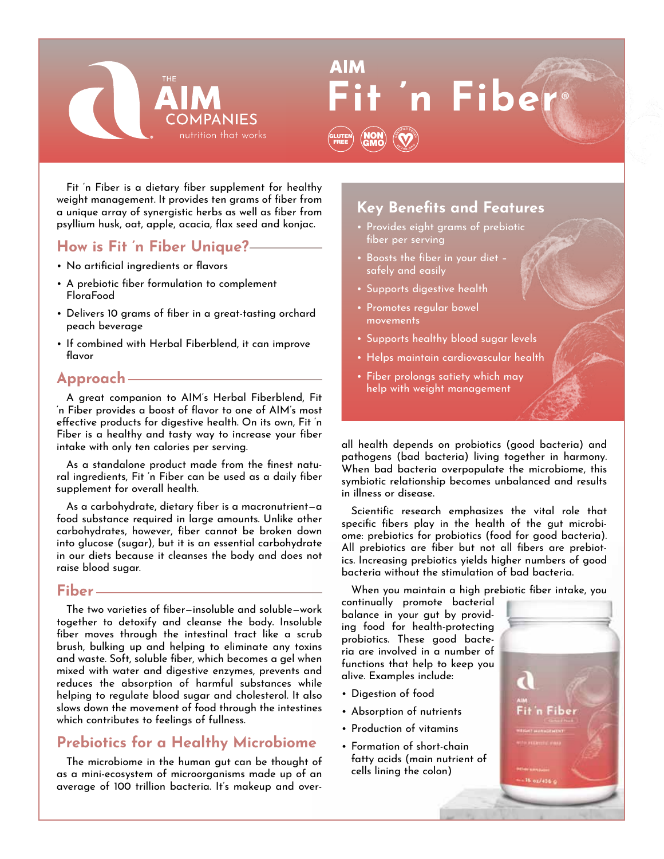

**In Fibe** 

Fit 'n Fiber is a dietary fiber supplement for healthy weight management. It provides ten grams of fiber from a unique array of synergistic herbs as well as fiber from psyllium husk, oat, apple, acacia, flax seed and konjac.

## **How is Fit 'n Fiber Unique?**

- No artificial ingredients or flavors
- A prebiotic fiber formulation to complement FloraFood
- Delivers 10 grams of fiber in a great-tasting orchard peach beverage
- If combined with Herbal Fiberblend, it can improve flavor

### **Approach**

A great companion to AIM's Herbal Fiberblend, Fit 'n Fiber provides a boost of flavor to one of AIM's most effective products for digestive health. On its own, Fit 'n Fiber is a healthy and tasty way to increase your fiber intake with only ten calories per serving.

As a standalone product made from the finest natural ingredients, Fit 'n Fiber can be used as a daily fiber supplement for overall health.

As a carbohydrate, dietary fiber is a macronutrient—a food substance required in large amounts. Unlike other carbohydrates, however, fiber cannot be broken down into glucose (sugar), but it is an essential carbohydrate in our diets because it cleanses the body and does not raise blood sugar.

#### **Fiber**

The two varieties of fiber—insoluble and soluble—work together to detoxify and cleanse the body. Insoluble fiber moves through the intestinal tract like a scrub brush, bulking up and helping to eliminate any toxins and waste. Soft, soluble fiber, which becomes a gel when mixed with water and digestive enzymes, prevents and reduces the absorption of harmful substances while helping to regulate blood sugar and cholesterol. It also slows down the movement of food through the intestines which contributes to feelings of fullness.

# **Prebiotics for a Healthy Microbiome**

The microbiome in the human gut can be thought of as a mini-ecosystem of microorganisms made up of an average of 100 trillion bacteria. It's makeup and over-

# **Key Benefits and Features**

- Provides eight grams of prebiotic fiber per serving
- Boosts the fiber in your diet safely and easily
- Supports digestive health
- Promotes regular bowel movements

GLUTEN LUTEN (NON

GMO **<sup>C</sup>ERTIFIE<sup>D</sup> <sup>V</sup>EGA<sup>N</sup> <sup>V</sup> <sup>E</sup> <sup>G</sup> <sup>A</sup> <sup>N</sup>** $\frac{1}{2}$ 

- Supports healthy blood sugar levels
- Helps maintain cardiovascular health
- Fiber prolongs satiety which may help with weight management

all health depends on probiotics (good bacteria) and pathogens (bad bacteria) living together in harmony. When bad bacteria overpopulate the microbiome, this symbiotic relationship becomes unbalanced and results in illness or disease.

Scientific research emphasizes the vital role that specific fibers play in the health of the gut microbiome: prebiotics for probiotics (food for good bacteria). All prebiotics are fiber but not all fibers are prebiotics. Increasing prebiotics yields higher numbers of good bacteria without the stimulation of bad bacteria.

When you maintain a high prebiotic fiber intake, you

continually promote bacterial balance in your gut by providing food for health-protecting probiotics. These good bacteria are involved in a number of functions that help to keep you alive. Examples include:

- Digestion of food
- Absorption of nutrients
- Production of vitamins
- Formation of short-chain fatty acids (main nutrient of cells lining the colon)